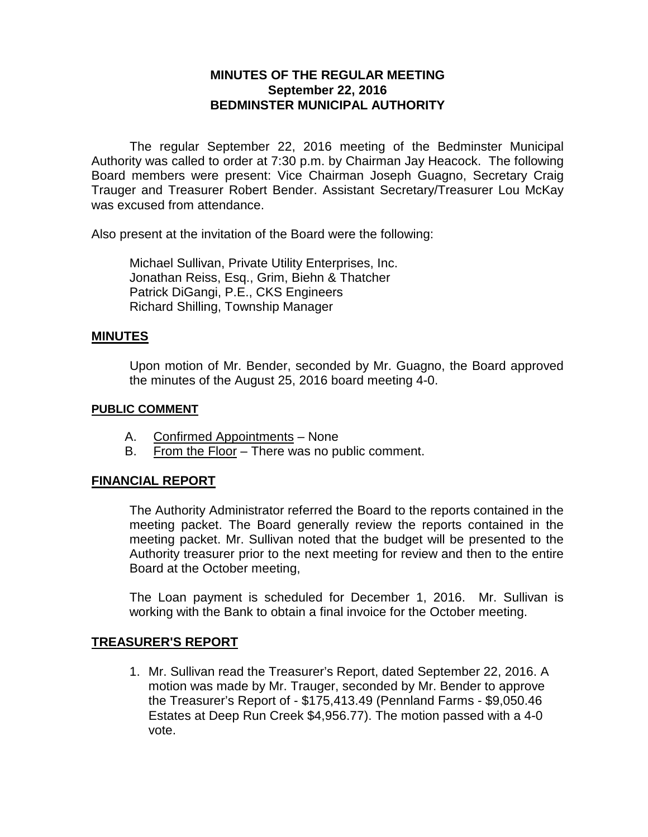## **MINUTES OF THE REGULAR MEETING September 22, 2016 BEDMINSTER MUNICIPAL AUTHORITY**

The regular September 22, 2016 meeting of the Bedminster Municipal Authority was called to order at 7:30 p.m. by Chairman Jay Heacock. The following Board members were present: Vice Chairman Joseph Guagno, Secretary Craig Trauger and Treasurer Robert Bender. Assistant Secretary/Treasurer Lou McKay was excused from attendance.

Also present at the invitation of the Board were the following:

Michael Sullivan, Private Utility Enterprises, Inc. Jonathan Reiss, Esq., Grim, Biehn & Thatcher Patrick DiGangi, P.E., CKS Engineers Richard Shilling, Township Manager

#### **MINUTES**

Upon motion of Mr. Bender, seconded by Mr. Guagno, the Board approved the minutes of the August 25, 2016 board meeting 4-0.

#### **PUBLIC COMMENT**

- A. Confirmed Appointments None
- B. From the Floor There was no public comment.

#### **FINANCIAL REPORT**

The Authority Administrator referred the Board to the reports contained in the meeting packet. The Board generally review the reports contained in the meeting packet. Mr. Sullivan noted that the budget will be presented to the Authority treasurer prior to the next meeting for review and then to the entire Board at the October meeting,

The Loan payment is scheduled for December 1, 2016. Mr. Sullivan is working with the Bank to obtain a final invoice for the October meeting.

#### **TREASURER'S REPORT**

1. Mr. Sullivan read the Treasurer's Report, dated September 22, 2016. A motion was made by Mr. Trauger, seconded by Mr. Bender to approve the Treasurer's Report of - \$175,413.49 (Pennland Farms - \$9,050.46 Estates at Deep Run Creek \$4,956.77). The motion passed with a 4-0 vote.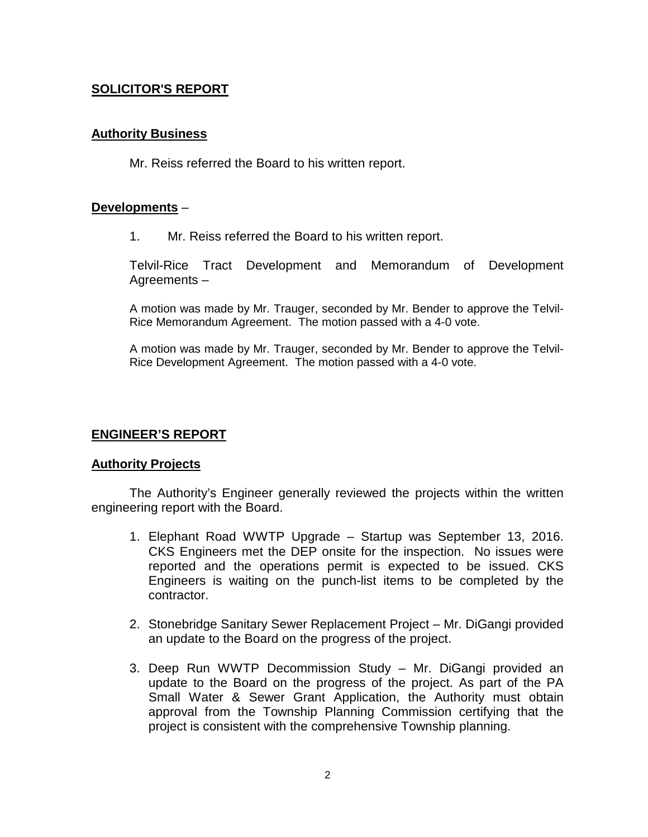## **SOLICITOR'S REPORT**

### **Authority Business**

Mr. Reiss referred the Board to his written report.

### **Developments** –

1. Mr. Reiss referred the Board to his written report.

Telvil-Rice Tract Development and Memorandum of Development Agreements –

A motion was made by Mr. Trauger, seconded by Mr. Bender to approve the Telvil-Rice Memorandum Agreement. The motion passed with a 4-0 vote.

A motion was made by Mr. Trauger, seconded by Mr. Bender to approve the Telvil-Rice Development Agreement. The motion passed with a 4-0 vote.

### **ENGINEER'S REPORT**

#### **Authority Projects**

The Authority's Engineer generally reviewed the projects within the written engineering report with the Board.

- 1. Elephant Road WWTP Upgrade Startup was September 13, 2016. CKS Engineers met the DEP onsite for the inspection. No issues were reported and the operations permit is expected to be issued. CKS Engineers is waiting on the punch-list items to be completed by the contractor.
- 2. Stonebridge Sanitary Sewer Replacement Project Mr. DiGangi provided an update to the Board on the progress of the project.
- 3. Deep Run WWTP Decommission Study Mr. DiGangi provided an update to the Board on the progress of the project. As part of the PA Small Water & Sewer Grant Application, the Authority must obtain approval from the Township Planning Commission certifying that the project is consistent with the comprehensive Township planning.